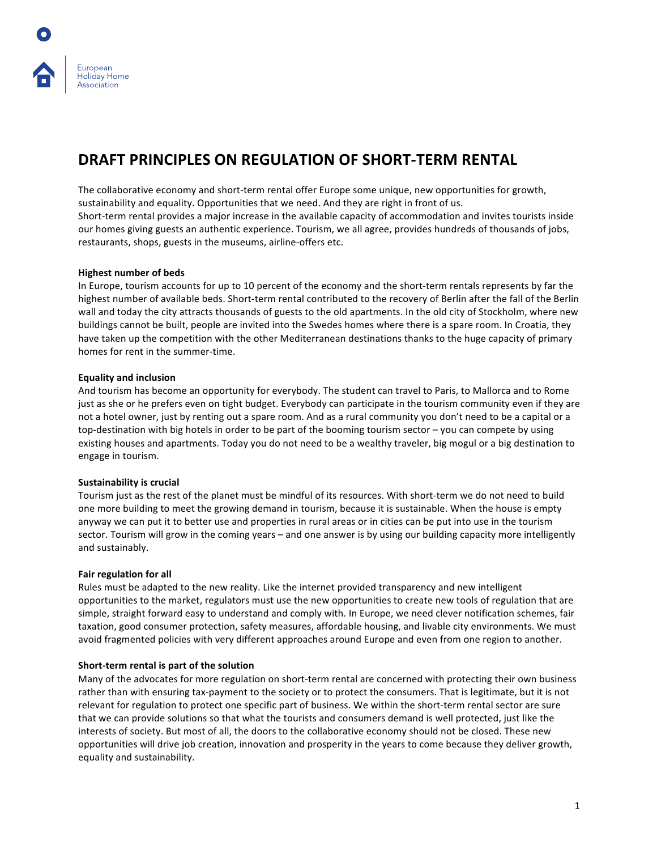# **DRAFT PRINCIPLES ON REGULATION OF SHORT-TERM RENTAL**

The collaborative economy and short-term rental offer Europe some unique, new opportunities for growth, sustainability and equality. Opportunities that we need. And they are right in front of us. Short-term rental provides a major increase in the available capacity of accommodation and invites tourists inside our homes giving guests an authentic experience. Tourism, we all agree, provides hundreds of thousands of jobs, restaurants, shops, guests in the museums, airline-offers etc.

### **Highest number of beds**

European Holiday Home Association

In Europe, tourism accounts for up to 10 percent of the economy and the short-term rentals represents by far the highest number of available beds. Short-term rental contributed to the recovery of Berlin after the fall of the Berlin wall and today the city attracts thousands of guests to the old apartments. In the old city of Stockholm, where new buildings cannot be built, people are invited into the Swedes homes where there is a spare room. In Croatia, they have taken up the competition with the other Mediterranean destinations thanks to the huge capacity of primary homes for rent in the summer-time.

### **Equality and inclusion**

And tourism has become an opportunity for everybody. The student can travel to Paris, to Mallorca and to Rome just as she or he prefers even on tight budget. Everybody can participate in the tourism community even if they are not a hotel owner, just by renting out a spare room. And as a rural community you don't need to be a capital or a top-destination with big hotels in order to be part of the booming tourism sector  $-$  you can compete by using existing houses and apartments. Today you do not need to be a wealthy traveler, big mogul or a big destination to engage in tourism.

### **Sustainability is crucial**

Tourism just as the rest of the planet must be mindful of its resources. With short-term we do not need to build one more building to meet the growing demand in tourism, because it is sustainable. When the house is empty anyway we can put it to better use and properties in rural areas or in cities can be put into use in the tourism sector. Tourism will grow in the coming years – and one answer is by using our building capacity more intelligently and sustainably.

### **Fair regulation for all**

Rules must be adapted to the new reality. Like the internet provided transparency and new intelligent opportunities to the market, regulators must use the new opportunities to create new tools of regulation that are simple, straight forward easy to understand and comply with. In Europe, we need clever notification schemes, fair taxation, good consumer protection, safety measures, affordable housing, and livable city environments. We must avoid fragmented policies with very different approaches around Europe and even from one region to another.

### **Short-term rental is part of the solution**

Many of the advocates for more regulation on short-term rental are concerned with protecting their own business rather than with ensuring tax-payment to the society or to protect the consumers. That is legitimate, but it is not relevant for regulation to protect one specific part of business. We within the short-term rental sector are sure that we can provide solutions so that what the tourists and consumers demand is well protected, just like the interests of society. But most of all, the doors to the collaborative economy should not be closed. These new opportunities will drive job creation, innovation and prosperity in the years to come because they deliver growth, equality and sustainability.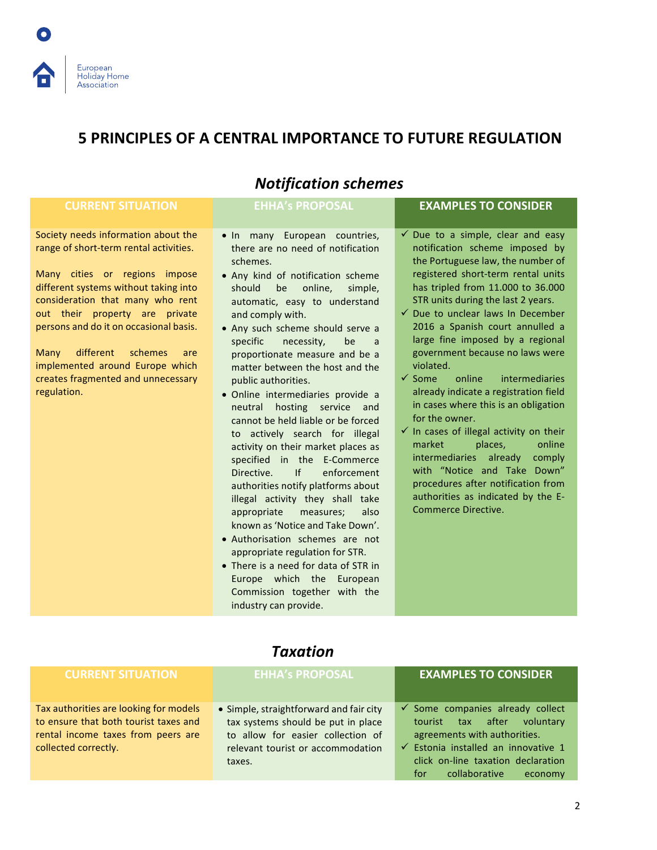# European Holiday Home Association

# **5 PRINCIPLES OF A CENTRAL IMPORTANCE TO FUTURE REGULATION**

#### *Notification schemes* **CURRENT SITUATION ENHA's PROPOSAL EXAMPLES TO CONSIDER** Society needs information about the range of short-term rental activities. Many cities or regions impose different systems without taking into consideration that many who rent out their property are private persons and do it on occasional basis. Many different schemes are implemented around Europe which creates fragmented and unnecessary regulation. • In many European countries, there are no need of notification schemes. • Any kind of notification scheme should be online, simple, automatic, easy to understand and comply with. • Any such scheme should serve a specific necessity, be a proportionate measure and be a matter between the host and the public authorities. • Online intermediaries provide a neutral hosting service and cannot be held liable or be forced to actively search for illegal activity on their market places as specified in the E-Commerce Directive. If enforcement authorities notify platforms about illegal activity they shall take appropriate measures; also known as 'Notice and Take Down'. • Authorisation schemes are not appropriate regulation for STR. • There is a need for data of STR in Europe which the European Commission together with the industry can provide.  $\checkmark$  Due to a simple, clear and easy notification scheme imposed by the Portuguese law, the number of registered short-term rental units has tripled from 11.000 to 36.000 STR units during the last 2 years.  $\checkmark$  Due to unclear laws In December 2016 a Spanish court annulled a large fine imposed by a regional government because no laws were violated.  $\checkmark$  Some online intermediaries already indicate a registration field in cases where this is an obligation for the owner.  $\checkmark$  In cases of illegal activity on their market places, online intermediaries already comply with "Notice and Take Down" procedures after notification from authorities as indicated by the E-Commerce Directive.

# *Taxation*

| <b>CURRENT SITUATION</b>                                                                                                                      | <b>EHHA's PROPOSAL</b>                                                                                                                                            | <b>EXAMPLES TO CONSIDER</b>                                                                                                                                                                                                              |
|-----------------------------------------------------------------------------------------------------------------------------------------------|-------------------------------------------------------------------------------------------------------------------------------------------------------------------|------------------------------------------------------------------------------------------------------------------------------------------------------------------------------------------------------------------------------------------|
| Tax authorities are looking for models<br>to ensure that both tourist taxes and<br>rental income taxes from peers are<br>collected correctly. | • Simple, straightforward and fair city<br>tax systems should be put in place<br>to allow for easier collection of<br>relevant tourist or accommodation<br>taxes. | $\checkmark$ Some companies already collect<br>tourist tax after<br>voluntary<br>agreements with authorities.<br>$\checkmark$ Estonia installed an innovative 1<br>click on-line taxation declaration<br>collaborative<br>for<br>economy |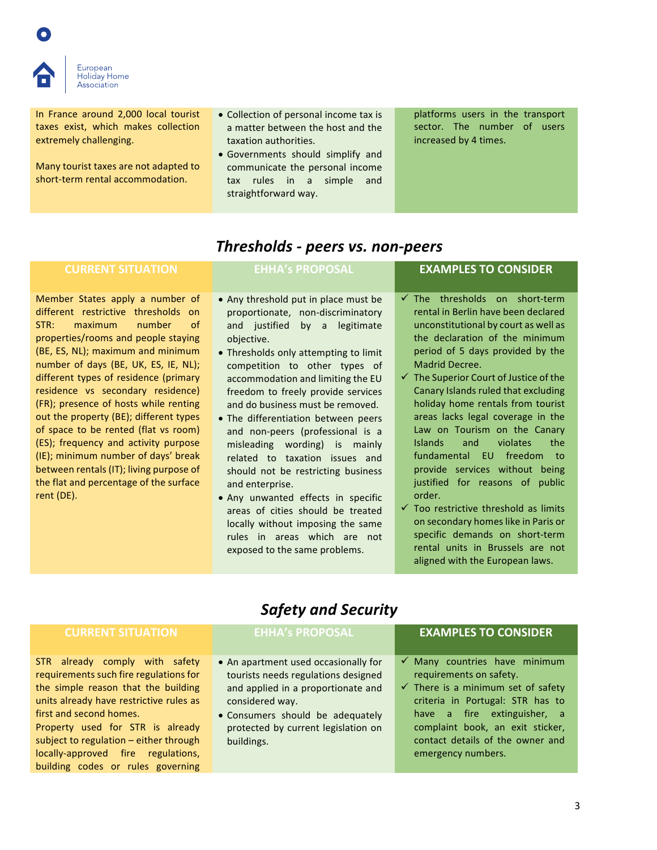

European Holiday Home Association

In France around 2,000 local tourist taxes exist, which makes collection extremely challenging.

Many tourist taxes are not adapted to short-term rental accommodation.

- Collection of personal income tax is a matter between the host and the taxation authorities.
- Governments should simplify and communicate the personal income tax rules in a simple and straightforward way.

platforms users in the transport sector. The number of users increased by 4 times.

## *Thresholds - peers vs. non-peers*

Member States apply a number of different restrictive thresholds on STR: maximum number of properties/rooms and people staying (BE, ES, NL); maximum and minimum number of days (BE, UK, ES, IE, NL); different types of residence (primary residence vs secondary residence) (FR); presence of hosts while renting out the property (BE); different types of space to be rented (flat vs room) (ES); frequency and activity purpose (IE): minimum number of days' break between rentals (IT); living purpose of the flat and percentage of the surface rent (DE).

- Any threshold put in place must be proportionate, non-discriminatory and justified by a legitimate objective.
- Thresholds only attempting to limit competition to other types of accommodation and limiting the EU freedom to freely provide services and do business must be removed.
- The differentiation between peers and non-peers (professional is a misleading wording) is mainly related to taxation issues and should not be restricting business and enterprise.
- Any unwanted effects in specific areas of cities should be treated locally without imposing the same rules in areas which are not exposed to the same problems.

## **CURRENT SITUATION CONSIDER EHHA's PROPOSAL CURRENT SITUATION**

- $\checkmark$  The thresholds on short-term rental in Berlin have been declared unconstitutional by court as well as the declaration of the minimum period of 5 days provided by the Madrid Decree.
- $\checkmark$  The Superior Court of Justice of the Canary Islands ruled that excluding holiday home rentals from tourist areas lacks legal coverage in the Law on Tourism on the Canary Islands and violates the fundamental EU freedom to provide services without being justified for reasons of public order.
- $\checkmark$  Too restrictive threshold as limits on secondary homes like in Paris or specific demands on short-term rental units in Brussels are not aligned with the European laws.

# *Safety and Security*

STR already comply with safety requirements such fire regulations for the simple reason that the building units already have restrictive rules as first and second homes.

Property used for STR is already subject to regulation  $-$  either through locally-approved fire regulations, building codes or rules governing

### **CURRENT SITUATION ENHA's PROPOSAL EXAMPLES TO CONSIDER**

- An apartment used occasionally for tourists needs regulations designed and applied in a proportionate and considered way.
- Consumers should be adequately protected by current legislation on buildings.

- $\checkmark$  Many countries have minimum requirements on safety.
- $\checkmark$  There is a minimum set of safety criteria in Portugal: STR has to have a fire extinguisher, a complaint book, an exit sticker, contact details of the owner and emergency numbers.